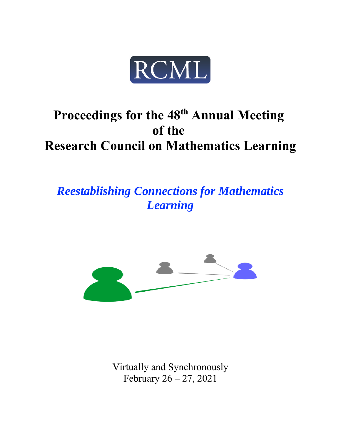

# Proceedings for the 48<sup>th</sup> Annual Meeting **of the Research Council on Mathematics Learning**

*Reestablishing Connections for Mathematics Learning*



Virtually and Synchronously February 26 – 27, 2021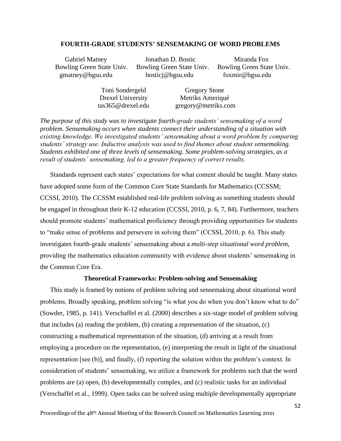#### **FOURTH-GRADE STUDENTS' SENSEMAKING OF WORD PROBLEMS**

 Bowling Green State Univ. Bowling Green State Univ. Bowling Green State Univ. gmatney@bgsu.edu bosticj@bgsu.edu foxmir@bgsu.edu

Gabriel Matney **Ionathan D. Bostic** Miranda Fox

 Toni Sondergeld Gregory Stone Drexel University Metriks Ameriqué tas365@drexel.edu gregory@metriks.com

*The purpose of this study was to investigate fourth-grade students' sensemaking of a word problem. Sensemaking occurs when students connect their understanding of a situation with existing knowledge. We investigated students' sensemaking about a word problem by comparing students' strategy use. Inductive analysis was used to find themes about student sensemaking. Students exhibited one of three levels of sensemaking. Some problem-solving strategies, as a result of students' sensemaking, led to a greater frequency of correct results.* 

Standards represent each states' expectations for what content should be taught. Many states have adopted some form of the Common Core State Standards for Mathematics (CCSSM; CCSSI, 2010). The CCSSM established real-life problem solving as something students should be engaged in throughout their K-12 education (CCSSI, 2010, p. 6, 7, 84). Furthermore, teachers should promote students' mathematical proficiency through providing opportunities for students to "make sense of problems and persevere in solving them" (CCSSI, 2010, p. 6). This study investigates fourth-grade students' sensemaking about a *multi-step situational word problem*, providing the mathematics education community with evidence about students' sensemaking in the Common Core Era.

# **Theoretical Frameworks: Problem-solving and Sensemaking**

This study is framed by notions of problem solving and sensemaking about situational word problems. Broadly speaking, problem solving "is what you do when you don't know what to do" (Sowder, 1985, p. 141). Verschaffel et al. (2000) describes a six-stage model of problem solving that includes (a) reading the problem, (b) creating a representation of the situation, (c) constructing a mathematical representation of the situation, (d) arriving at a result from employing a procedure on the representation, (e) interpreting the result in light of the situational representation [see (b)], and finally, (f) reporting the solution within the problem's context. In consideration of students' sensemaking, we utilize a framework for problems such that the word problems are (a) open, (b) developmentally complex, and (c) realistic tasks for an individual (Verschaffel et al., 1999). Open tasks can be solved using multiple developmentally appropriate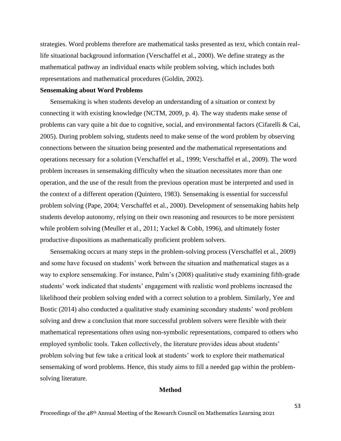strategies. Word problems therefore are mathematical tasks presented as text, which contain reallife situational background information (Verschaffel et al., 2000). We define strategy as the mathematical pathway an individual enacts while problem solving, which includes both representations and mathematical procedures (Goldin, 2002).

# **Sensemaking about Word Problems**

Sensemaking is when students develop an understanding of a situation or context by connecting it with existing knowledge (NCTM, 2009, p. 4). The way students make sense of problems can vary quite a bit due to cognitive, social, and environmental factors (Cifarelli & Cai, 2005). During problem solving, students need to make sense of the word problem by observing connections between the situation being presented and the mathematical representations and operations necessary for a solution (Verschaffel et al., 1999; Verschaffel et al., 2009). The word problem increases in sensemaking difficulty when the situation necessitates more than one operation, and the use of the result from the previous operation must be interpreted and used in the context of a different operation (Quintero, 1983). Sensemaking is essential for successful problem solving (Pape, 2004; Verschaffel et al., 2000). Development of sensemaking habits help students develop autonomy, relying on their own reasoning and resources to be more persistent while problem solving (Meuller et al., 2011; Yackel & Cobb, 1996), and ultimately foster productive dispositions as mathematically proficient problem solvers.

Sensemaking occurs at many steps in the problem-solving process (Verschaffel et al., 2009) and some have focused on students' work between the situation and mathematical stages as a way to explore sensemaking. For instance, Palm's (2008) qualitative study examining fifth-grade students' work indicated that students' engagement with realistic word problems increased the likelihood their problem solving ended with a correct solution to a problem. Similarly, Yee and Bostic (2014) also conducted a qualitative study examining secondary students' word problem solving and drew a conclusion that more successful problem solvers were flexible with their mathematical representations often using non-symbolic representations, compared to others who employed symbolic tools. Taken collectively, the literature provides ideas about students' problem solving but few take a critical look at students' work to explore their mathematical sensemaking of word problems. Hence, this study aims to fill a needed gap within the problemsolving literature.

## **Method**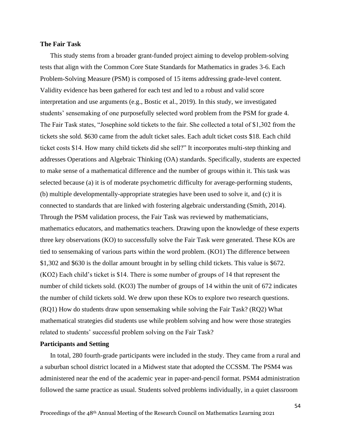## **The Fair Task**

This study stems from a broader grant-funded project aiming to develop problem-solving tests that align with the Common Core State Standards for Mathematics in grades 3-6. Each Problem-Solving Measure (PSM) is composed of 15 items addressing grade-level content. Validity evidence has been gathered for each test and led to a robust and valid score interpretation and use arguments (e.g., Bostic et al., 2019). In this study, we investigated students' sensemaking of one purposefully selected word problem from the PSM for grade 4. The Fair Task states, "Josephine sold tickets to the fair. She collected a total of \$1,302 from the tickets she sold. \$630 came from the adult ticket sales. Each adult ticket costs \$18. Each child ticket costs \$14. How many child tickets did she sell?" It incorporates multi-step thinking and addresses Operations and Algebraic Thinking (OA) standards. Specifically, students are expected to make sense of a mathematical difference and the number of groups within it. This task was selected because (a) it is of moderate psychometric difficulty for average-performing students, (b) multiple developmentally-appropriate strategies have been used to solve it, and (c) it is connected to standards that are linked with fostering algebraic understanding (Smith, 2014). Through the PSM validation process, the Fair Task was reviewed by mathematicians, mathematics educators, and mathematics teachers. Drawing upon the knowledge of these experts three key observations (KO) to successfully solve the Fair Task were generated. These KOs are tied to sensemaking of various parts within the word problem. (KO1) The difference between \$1,302 and \$630 is the dollar amount brought in by selling child tickets. This value is \$672. (KO2) Each child's ticket is \$14. There is some number of groups of 14 that represent the number of child tickets sold. (KO3) The number of groups of 14 within the unit of 672 indicates the number of child tickets sold. We drew upon these KOs to explore two research questions. (RQ1) How do students draw upon sensemaking while solving the Fair Task? (RQ2) What mathematical strategies did students use while problem solving and how were those strategies related to students' successful problem solving on the Fair Task?

# **Participants and Setting**

In total, 280 fourth-grade participants were included in the study. They came from a rural and a suburban school district located in a Midwest state that adopted the CCSSM. The PSM4 was administered near the end of the academic year in paper-and-pencil format. PSM4 administration followed the same practice as usual. Students solved problems individually, in a quiet classroom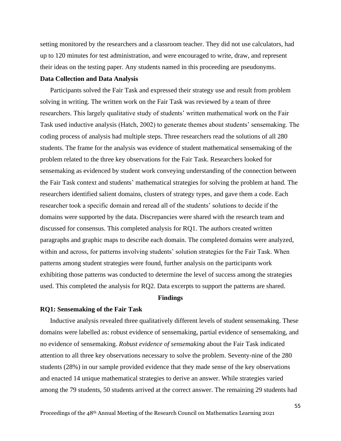setting monitored by the researchers and a classroom teacher. They did not use calculators, had up to 120 minutes for test administration, and were encouraged to write, draw, and represent their ideas on the testing paper. Any students named in this proceeding are pseudonyms.

#### **Data Collection and Data Analysis**

Participants solved the Fair Task and expressed their strategy use and result from problem solving in writing. The written work on the Fair Task was reviewed by a team of three researchers. This largely qualitative study of students' written mathematical work on the Fair Task used inductive analysis (Hatch, 2002) to generate themes about students' sensemaking. The coding process of analysis had multiple steps. Three researchers read the solutions of all 280 students. The frame for the analysis was evidence of student mathematical sensemaking of the problem related to the three key observations for the Fair Task. Researchers looked for sensemaking as evidenced by student work conveying understanding of the connection between the Fair Task context and students' mathematical strategies for solving the problem at hand. The researchers identified salient domains, clusters of strategy types, and gave them a code. Each researcher took a specific domain and reread all of the students' solutions to decide if the domains were supported by the data. Discrepancies were shared with the research team and discussed for consensus. This completed analysis for RQ1. The authors created written paragraphs and graphic maps to describe each domain. The completed domains were analyzed, within and across, for patterns involving students' solution strategies for the Fair Task. When patterns among student strategies were found, further analysis on the participants work exhibiting those patterns was conducted to determine the level of success among the strategies used. This completed the analysis for RQ2. Data excerpts to support the patterns are shared.

#### **Findings**

## **RQ1: Sensemaking of the Fair Task**

Inductive analysis revealed three qualitatively different levels of student sensemaking. These domains were labelled as: robust evidence of sensemaking, partial evidence of sensemaking, and no evidence of sensemaking. *Robust evidence of sensemaking* about the Fair Task indicated attention to all three key observations necessary to solve the problem. Seventy-nine of the 280 students (28%) in our sample provided evidence that they made sense of the key observations and enacted 14 unique mathematical strategies to derive an answer. While strategies varied among the 79 students, 50 students arrived at the correct answer. The remaining 29 students had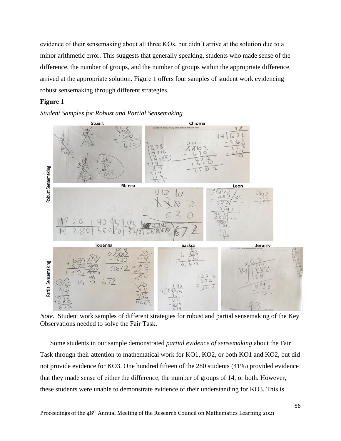evidence of their sensemaking about all three KOs, but didn't arrive at the solution due to a minor arithmetic error. This suggests that generally speaking, students who made sense of the difference, the number of groups, and the number of groups within the appropriate difference, arrived at the appropriate solution. Figure 1 offers four samples of student work evidencing robust sensemaking through different strategies.

# **Figure 1**





*Note*. Student work samples of different strategies for robust and partial sensemaking of the Key Observations needed to solve the Fair Task.

Some students in our sample demonstrated *partial evidence of sensemaking* about the Fair Task through their attention to mathematical work for KO1, KO2, or both KO1 and KO2, but did not provide evidence for KO3. One hundred fifteen of the 280 students (41%) provided evidence that they made sense of either the difference, the number of groups of 14, or both. However, these students were unable to demonstrate evidence of their understanding for KO3. This is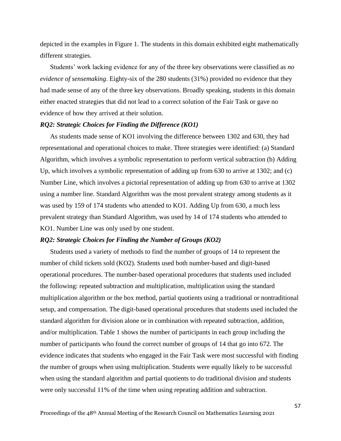depicted in the examples in Figure 1. The students in this domain exhibited eight mathematically different strategies.

Students' work lacking evidence for any of the three key observations were classified as *no evidence of sensemaking*. Eighty-six of the 280 students (31%) provided no evidence that they had made sense of any of the three key observations. Broadly speaking, students in this domain either enacted strategies that did not lead to a correct solution of the Fair Task or gave no evidence of how they arrived at their solution.

#### *RQ2: Strategic Choices for Finding the Difference (KO1)*

As students made sense of KO1 involving the difference between 1302 and 630, they had representational and operational choices to make. Three strategies were identified: (a) Standard Algorithm, which involves a symbolic representation to perform vertical subtraction (b) Adding Up, which involves a symbolic representation of adding up from 630 to arrive at 1302; and (c) Number Line, which involves a pictorial representation of adding up from 630 to arrive at 1302 using a number line. Standard Algorithm was the most prevalent strategy among students as it was used by 159 of 174 students who attended to KO1. Adding Up from 630, a much less prevalent strategy than Standard Algorithm, was used by 14 of 174 students who attended to KO1. Number Line was only used by one student.

## *RQ2: Strategic Choices for Finding the Number of Groups (KO2)*

Students used a variety of methods to find the number of groups of 14 to represent the number of child tickets sold (KO2). Students used both number-based and digit-based operational procedures. The number-based operational procedures that students used included the following: repeated subtraction and multiplication, multiplication using the standard multiplication algorithm or the box method, partial quotients using a traditional or nontraditional setup, and compensation. The digit-based operational procedures that students used included the standard algorithm for division alone or in combination with repeated subtraction, addition, and/or multiplication. Table 1 shows the number of participants in each group including the number of participants who found the correct number of groups of 14 that go into 672. The evidence indicates that students who engaged in the Fair Task were most successful with finding the number of groups when using multiplication. Students were equally likely to be successful when using the standard algorithm and partial quotients to do traditional division and students were only successful 11% of the time when using repeating addition and subtraction.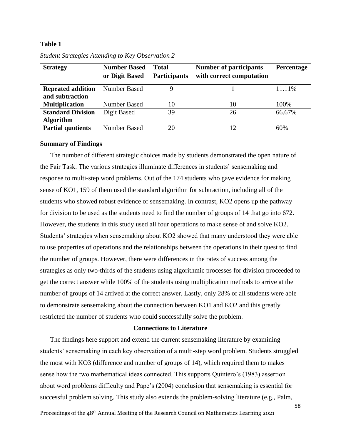# **Table 1**

| <b>Strategy</b>                              | <b>Number Based</b><br>or Digit Based | Total<br><b>Participants</b> | <b>Number of participants</b><br>with correct computation | Percentage |
|----------------------------------------------|---------------------------------------|------------------------------|-----------------------------------------------------------|------------|
| <b>Repeated addition</b><br>and subtraction  | <b>Number Based</b>                   | 9                            |                                                           | 11.11%     |
| <b>Multiplication</b>                        | <b>Number Based</b>                   | 10                           | 10                                                        | 100%       |
| <b>Standard Division</b><br><b>Algorithm</b> | Digit Based                           | 39                           | 26                                                        | 66.67%     |
| <b>Partial quotients</b>                     | <b>Number Based</b>                   | 20                           | $\overline{12}$                                           | 60%        |

*Student Strategies Attending to Key Observation 2*

#### **Summary of Findings**

The number of different strategic choices made by students demonstrated the open nature of the Fair Task. The various strategies illuminate differences in students' sensemaking and response to multi-step word problems. Out of the 174 students who gave evidence for making sense of KO1, 159 of them used the standard algorithm for subtraction, including all of the students who showed robust evidence of sensemaking. In contrast, KO2 opens up the pathway for division to be used as the students need to find the number of groups of 14 that go into 672. However, the students in this study used all four operations to make sense of and solve KO2. Students' strategies when sensemaking about KO2 showed that many understood they were able to use properties of operations and the relationships between the operations in their quest to find the number of groups. However, there were differences in the rates of success among the strategies as only two-thirds of the students using algorithmic processes for division proceeded to get the correct answer while 100% of the students using multiplication methods to arrive at the number of groups of 14 arrived at the correct answer. Lastly, only 28% of all students were able to demonstrate sensemaking about the connection between KO1 and KO2 and this greatly restricted the number of students who could successfully solve the problem.

#### **Connections to Literature**

The findings here support and extend the current sensemaking literature by examining students' sensemaking in each key observation of a multi-step word problem. Students struggled the most with KO3 (difference and number of groups of 14), which required them to makes sense how the two mathematical ideas connected. This supports Quintero's (1983) assertion about word problems difficulty and Pape's (2004) conclusion that sensemaking is essential for successful problem solving. This study also extends the problem-solving literature (e.g., Palm,